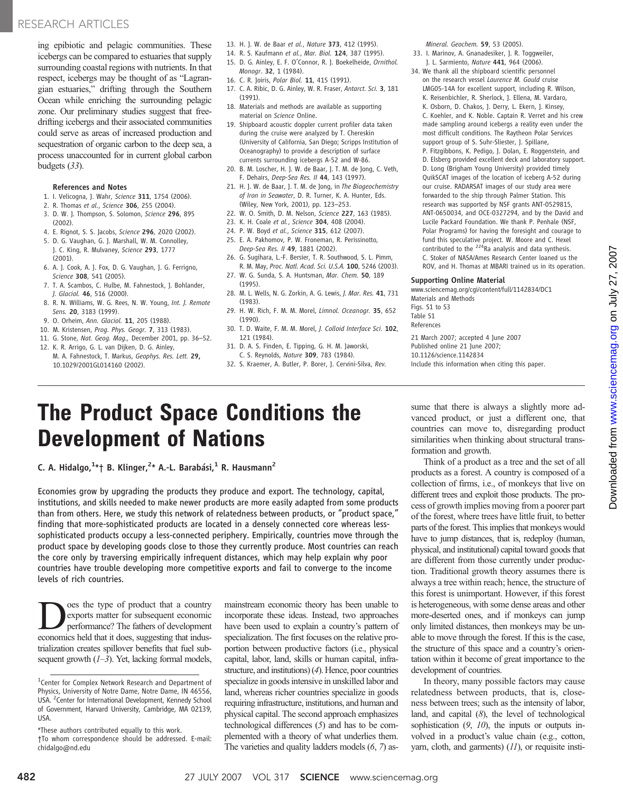ing epibiotic and pelagic communities. These icebergs can be compared to estuaries that supply surrounding coastal regions with nutrients. In that respect, icebergs may be thought of as "Lagrangian estuaries," drifting through the Southern Ocean while enriching the surrounding pelagic zone. Our preliminary studies suggest that freedrifting icebergs and their associated communities could serve as areas of increased production and sequestration of organic carbon to the deep sea, a process unaccounted for in current global carbon budgets (33).

## References and Notes

- 1. I. Velicogna, I. Wahr, Science 311, 1754 (2006).
- 2. R. Thomas et al., Science 306, 255 (2004).
- 3. D. W. J. Thompson, S. Solomon, Science 296, 895 (2002).
- 4. E. Rignot, S. S. Jacobs, Science 296, 2020 (2002).
- 5. D. G. Vaughan, G. J. Marshall, W. M. Connolley, J. C. King, R. Mulvaney, Science 293, 1777 (2001).
- 6. A. J. Cook, A. J. Fox, D. G. Vaughan, J. G. Ferrigno, Science 308, 541 (2005).
- 7. T. A. Scambos, C. Hulbe, M. Fahnestock, J. Bohlander, J. Glaciol. 46, 516 (2000).
- 8. R. N. Williams, W. G. Rees, N. W. Young, Int. J. Remote Sens. 20, 3183 (1999).
- 9. O. Orheim, Ann. Glaciol. **11**, 205 (1988).
- 10. M. Kristensen, Prog. Phys. Geogr. 7, 313 (1983).
- 11. G. Stone, Nat. Geog. Mag., December 2001, pp. 36–52.
- 12. K. R. Arrigo, G. L. van Dijken, D. G. Ainley, M. A. Fahnestock, T. Markus, Geophys. Res. Lett. 29, 10.1029/2001GL014160 (2002).
- 13. H. J. W. de Baar et al., Nature 373, 412 (1995).
- 14. R. S. Kaufmann et al., Mar. Biol. 124, 387 (1995).
- 15. D. G. Ainley, E. F. O'Connor, R. J. Boekelheide, Ornithol. Monogr. 32, 1 (1984).
- 16. C. R. Joiris, Polar Biol. 11, 415 (1991).
- 17. C. A. Ribic, D. G. Ainley, W. R. Fraser, Antarct. Sci. 3, 181 (1991).
- 18. Materials and methods are available as supporting material on Science Online.
- 19. Shipboard acoustic doppler current profiler data taken during the cruise were analyzed by T. Chereskin (University of California, San Diego; Scripps Institution of Oceanography) to provide a description of surface currents surrounding icebergs A-52 and W-86.
- 20. B. M. Loscher, H. J. W. de Baar, J. T. M. de Jong, C. Veth, F. Dehairs, Deep-Sea Res. II 44, 143 (1997).
- 21. H. J. W. de Baar, J. T. M. de Jong, in The Biogeochemistry of Iron in Seawater, D. R. Turner, K. A. Hunter, Eds. (Wiley, New York, 2001), pp. 123–253.
- 22. W. O. Smith, D. M. Nelson, Science 227, 163 (1985).
- 23. K. H. Coale et al., Science 304, 408 (2004).
- 24. P. W. Boyd et al., Science 315, 612 (2007).
- 25. E. A. Pakhomov, P. W. Froneman, R. Perissinotto, Deep-Sea Res. II 49, 1881 (2002).
- 26. G. Sugihara, L.-F. Bersier, T. R. Southwood, S. L. Pimm, R. M. May, Proc. Natl. Acad. Sci. U.S.A. 100, 5246 (2003). 27. W. G. Sunda, S. A. Huntsman, Mar. Chem. 50, 189
- (1995).
- 28. M. L. Wells, N. G. Zorkin, A. G. Lewis, J. Mar. Res. 41, 731 (1983).
- 29. H. W. Rich, F. M. M. Morel, Limnol. Oceanogr. 35, 652 (1990).
- 30. T. D. Waite, F. M. M. Morel, J. Colloid Interface Sci. 102, 121 (1984).
- 31. D. A. S. Finden, E. Tipping, G. H. M. Jaworski, C. S. Reynolds, Nature 309, 783 (1984).
- 32. S. Kraemer, A. Butler, P. Borer, J. Cervini-Silva, Rev.

Mineral. Geochem. 59, 53 (2005).

- 33. I. Marinov, A. Gnanadesiker, J. R. Toggweiler, J. L. Sarmiento, Nature 441, 964 (2006).
- 34. We thank all the shipboard scientific personnel on the research vessel Laurence M. Gould cruise LMG05-14A for excellent support, including R. Wilson, K. Reisenbichler, R. Sherlock, J. Ellena, M. Vardaro, K. Osborn, D. Chakos, J. Derry, L. Ekern, J. Kinsey, C. Koehler, and K. Noble. Captain R. Verret and his crew made sampling around icebergs a reality even under the most difficult conditions. The Raytheon Polar Services support group of S. Suhr-Sliester, J. Spillane, P. Fitzgibbons, K. Pedigo, J. Dolan, E. Roggenstein, and D. Elsberg provided excellent deck and laboratory support. D. Long (Brigham Young University) provided timely QuikSCAT images of the location of iceberg A-52 during our cruise. RADARSAT images of our study area were forwarded to the ship through Palmer Station. This research was supported by NSF grants ANT-0529815, ANT-0650034, and OCE-0327294, and by the David and Lucile Packard Foundation. We thank P. Penhale (NSF, Polar Programs) for having the foresight and courage to fund this speculative project. W. Moore and C. Hexel contributed to the  $224$ Ra analysis and data synthesis. C. Stoker of NASA/Ames Research Center loaned us the ROV, and H. Thomas at MBARI trained us in its operation.

# Supporting Online Material

www.sciencemag.org/cgi/content/full/1142834/DC1 Materials and Methods Figs. S1 to S3 Table S1 References 21 March 2007; accepted 4 June 2007 Published online 21 June 2007; 10.1126/science.1142834

Include this information when citing this paper.

# The Product Space Conditions the Development of Nations

C. A. Hidalgo,<sup>1</sup>\*† B. Klinger,<sup>2</sup>\* A.-L. Barabási,<sup>1</sup> R. Hausmann<sup>2</sup>

Economies grow by upgrading the products they produce and export. The technology, capital, institutions, and skills needed to make newer products are more easily adapted from some products than from others. Here, we study this network of relatedness between products, or "product space," finding that more-sophisticated products are located in a densely connected core whereas lesssophisticated products occupy a less-connected periphery. Empirically, countries move through the product space by developing goods close to those they currently produce. Most countries can reach the core only by traversing empirically infrequent distances, which may help explain why poor countries have trouble developing more competitive exports and fail to converge to the income levels of rich countries.

**D** ess the type of product that a country<br>exports matter for subsequent economic<br>performance? The fathers of development<br>economics held that it does suggesting that indusexports matter for subsequent economic performance? The fathers of development economics held that it does, suggesting that industrialization creates spillover benefits that fuel subsequent growth  $(1-3)$ . Yet, lacking formal models,

mainstream economic theory has been unable to incorporate these ideas. Instead, two approaches have been used to explain a country's pattern of specialization. The first focuses on the relative proportion between productive factors (i.e., physical capital, labor, land, skills or human capital, infrastructure, and institutions) (4). Hence, poor countries specialize in goods intensive in unskilled labor and land, whereas richer countries specialize in goods requiring infrastructure, institutions, and human and physical capital. The second approach emphasizes technological differences (5) and has to be complemented with a theory of what underlies them. The varieties and quality ladders models (6, 7) assume that there is always a slightly more advanced product, or just a different one, that countries can move to, disregarding product similarities when thinking about structural transformation and growth.

Think of a product as a tree and the set of all products as a forest. A country is composed of a collection of firms, i.e., of monkeys that live on different trees and exploit those products. The process of growth implies moving from a poorer part of the forest, where trees have little fruit, to better parts of the forest. This implies that monkeys would have to jump distances, that is, redeploy (human, physical, and institutional) capital toward goods that are different from those currently under production. Traditional growth theory assumes there is always a tree within reach; hence, the structure of this forest is unimportant. However, if this forest is heterogeneous, with some dense areas and other more-deserted ones, and if monkeys can jump only limited distances, then monkeys may be unable to move through the forest. If this is the case, the structure of this space and a country's orientation within it become of great importance to the development of countries.

In theory, many possible factors may cause relatedness between products, that is, closeness between trees; such as the intensity of labor, land, and capital  $(8)$ , the level of technological sophistication  $(9, 10)$ , the inputs or outputs involved in a product's value chain (e.g., cotton, yarn, cloth, and garments) (11), or requisite insti-

<sup>&</sup>lt;sup>1</sup> Center for Complex Network Research and Department of Physics, University of Notre Dame, Notre Dame, IN 46556, USA. <sup>2</sup> Center for International Development, Kennedy School of Government, Harvard University, Cambridge, MA 02139, USA.

<sup>\*</sup>These authors contributed equally to this work. †To whom correspondence should be addressed. E-mail: chidalgo@nd.edu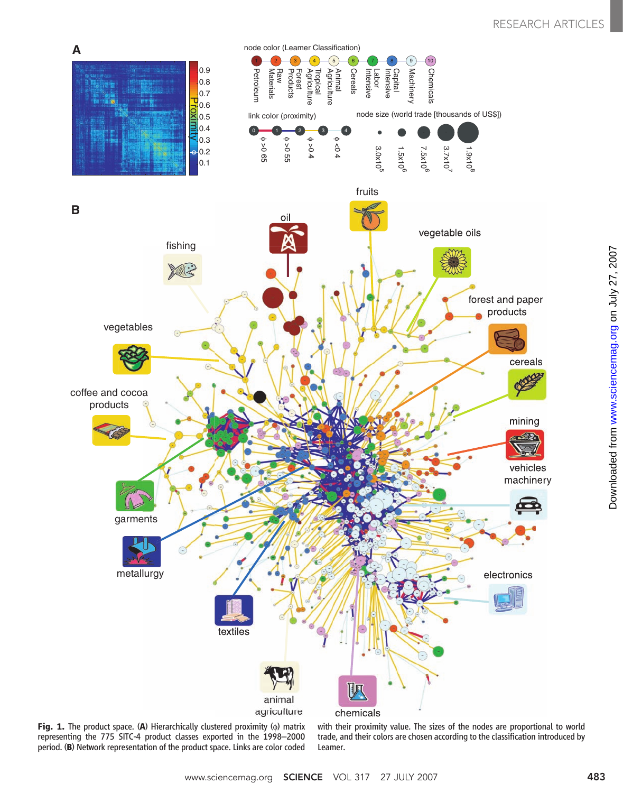

Fig. 1. The product space. (A) Hierarchically clustered proximity  $(\phi)$  matrix representing the 775 SITC-4 product classes exported in the 1998–2000 period. (B) Network representation of the product space. Links are color coded with their proximity value. The sizes of the nodes are proportional to world trade, and their colors are chosen according to the classification introduced by Leamer.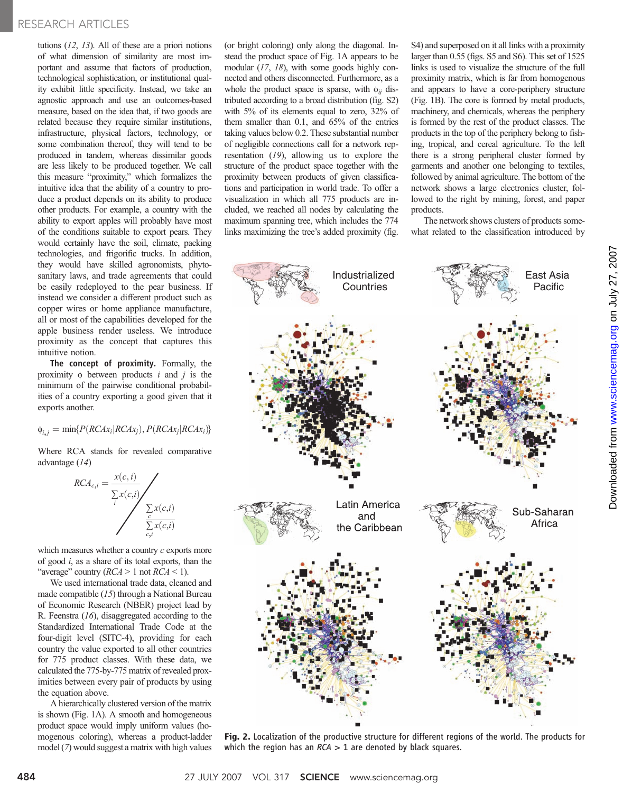tutions  $(12, 13)$ . All of these are a priori notions of what dimension of similarity are most important and assume that factors of production, technological sophistication, or institutional quality exhibit little specificity. Instead, we take an agnostic approach and use an outcomes-based measure, based on the idea that, if two goods are related because they require similar institutions, infrastructure, physical factors, technology, or some combination thereof, they will tend to be produced in tandem, whereas dissimilar goods are less likely to be produced together. We call this measure "proximity," which formalizes the intuitive idea that the ability of a country to produce a product depends on its ability to produce other products. For example, a country with the ability to export apples will probably have most of the conditions suitable to export pears. They would certainly have the soil, climate, packing technologies, and frigorific trucks. In addition, they would have skilled agronomists, phytosanitary laws, and trade agreements that could be easily redeployed to the pear business. If instead we consider a different product such as copper wires or home appliance manufacture, all or most of the capabilities developed for the apple business render useless. We introduce proximity as the concept that captures this intuitive notion.

The concept of proximity. Formally, the proximity  $\phi$  between products i and j is the minimum of the pairwise conditional probabilities of a country exporting a good given that it exports another.

 $\phi_{i,j} = \min\{P(RCAx_i|RCAx_j), P(RCAx_i|RCAx_i)\}$ 

Where RCA stands for revealed comparative advantage (14)

$$
RCA_{c,i} = \frac{x(c,i)}{\sum_{i} x(c,i)} \sqrt{\sum_{\substack{\sum_{c} x(c,i) \\ \sum_{c,i} x(c,i)}}
$$

which measures whether a country  $c$  exports more of good  $i$ , as a share of its total exports, than the "average" country  $(RCA > 1 \text{ not } RCA < 1)$ .

We used international trade data, cleaned and made compatible (15) through a National Bureau of Economic Research (NBER) project lead by R. Feenstra (16), disaggregated according to the Standardized International Trade Code at the four-digit level (SITC-4), providing for each country the value exported to all other countries for 775 product classes. With these data, we calculated the 775-by-775 matrix of revealed proximities between every pair of products by using the equation above.

A hierarchically clustered version of the matrix is shown (Fig. 1A). A smooth and homogeneous product space would imply uniform values (homogenous coloring), whereas a product-ladder model (7) would suggest a matrix with high values

(or bright coloring) only along the diagonal. Instead the product space of Fig. 1A appears to be modular (17, 18), with some goods highly connected and others disconnected. Furthermore, as a whole the product space is sparse, with  $\phi_{ii}$  distributed according to a broad distribution (fig. S2) with 5% of its elements equal to zero, 32% of them smaller than 0.1, and 65% of the entries taking values below 0.2. These substantial number of negligible connections call for a network representation (19), allowing us to explore the structure of the product space together with the proximity between products of given classifications and participation in world trade. To offer a visualization in which all 775 products are included, we reached all nodes by calculating the maximum spanning tree, which includes the 774 links maximizing the tree's added proximity (fig.

S4) and superposed on it all links with a proximity larger than 0.55 (figs. S5 and S6). This set of 1525 links is used to visualize the structure of the full proximity matrix, which is far from homogenous and appears to have a core-periphery structure (Fig. 1B). The core is formed by metal products, machinery, and chemicals, whereas the periphery is formed by the rest of the product classes. The products in the top of the periphery belong to fishing, tropical, and cereal agriculture. To the left there is a strong peripheral cluster formed by garments and another one belonging to textiles, followed by animal agriculture. The bottom of the network shows a large electronics cluster, followed to the right by mining, forest, and paper products.

The network shows clusters of products somewhat related to the classification introduced by



Fig. 2. Localization of the productive structure for different regions of the world. The products for which the region has an  $RCA > 1$  are denoted by black squares.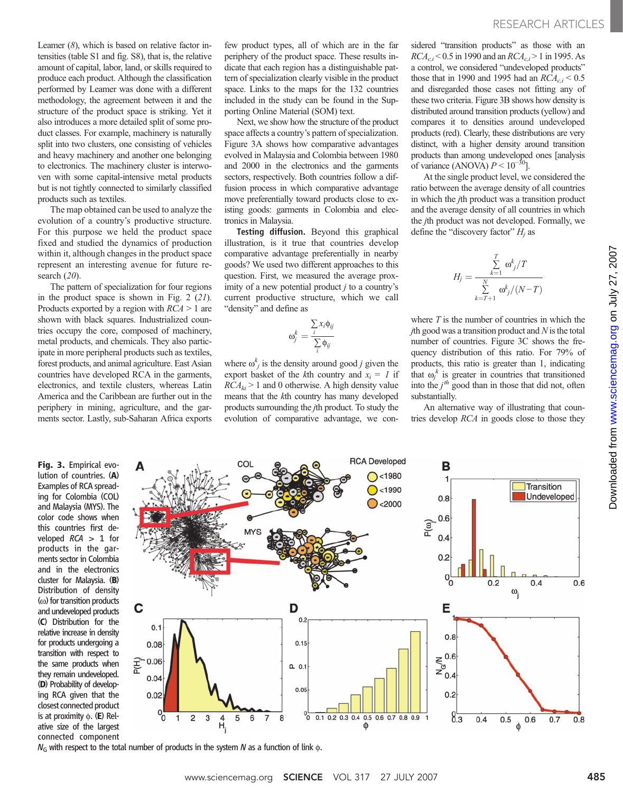Leamer  $(8)$ , which is based on relative factor intensities (table S1 and fig. S8), that is, the relative amount of capital, labor, land, or skills required to produce each product. Although the classification performed by Leamer was done with a different methodology, the agreement between it and the structure of the product space is striking. Yet it also introduces a more detailed split of some product classes. For example, machinery is naturally split into two clusters, one consisting of vehicles and heavy machinery and another one belonging to electronics. The machinery cluster is interwoven with some capital-intensive metal products but is not tightly connected to similarly classified products such as textiles.

The map obtained can be used to analyze the evolution of a country's productive structure. For this purpose we held the product space fixed and studied the dynamics of production within it, although changes in the product space represent an interesting avenue for future research (20).

The pattern of specialization for four regions in the product space is shown in Fig. 2 (21). Products exported by a region with  $RCA > 1$  are shown with black squares. Industrialized countries occupy the core, composed of machinery, metal products, and chemicals. They also participate in more peripheral products such as textiles, forest products, and animal agriculture. East Asian countries have developed RCA in the garments, electronics, and textile clusters, whereas Latin America and the Caribbean are further out in the periphery in mining, agriculture, and the garments sector. Lastly, sub-Saharan Africa exports

few product types, all of which are in the far periphery of the product space. These results indicate that each region has a distinguishable pattern of specialization clearly visible in the product space. Links to the maps for the 132 countries included in the study can be found in the Supporting Online Material (SOM) text.

Next, we show how the structure of the product space affects a country's pattern of specialization. Figure 3A shows how comparative advantages evolved in Malaysia and Colombia between 1980 and 2000 in the electronics and the garments sectors, respectively. Both countries follow a diffusion process in which comparative advantage move preferentially toward products close to existing goods: garments in Colombia and electronics in Malaysia.

Testing diffusion. Beyond this graphical illustration, is it true that countries develop comparative advantage preferentially in nearby goods? We used two different approaches to this question. First, we measured the average proximity of a new potential product  $j$  to a country's current productive structure, which we call "density" and define as

$$
\omega_j^k = \frac{\sum_i x_i \phi_{ij}}{\sum_i \phi_{ij}}
$$

where  $\omega_j^k$  is the density around good *j* given the export basket of the kth country and  $x_i = 1$  if  $RCA_{ki} > 1$  and 0 otherwise. A high density value means that the kth country has many developed products surrounding the jth product. To study the evolution of comparative advantage, we considered "transition products" as those with an  $RCA_{c,i}$  < 0.5 in 1990 and an  $RCA_{c,i}$  > 1 in 1995. As a control, we considered "undeveloped products" those that in 1990 and 1995 had an  $RCA_{c,i} < 0.5$ and disregarded those cases not fitting any of these two criteria. Figure 3B shows how density is distributed around transition products (yellow) and compares it to densities around undeveloped products (red). Clearly, these distributions are very distinct, with a higher density around transition products than among undeveloped ones [analysis of variance (ANOVA)  $P \le 10^{-30}$ .

At the single product level, we considered the ratio between the average density of all countries in which the jth product was a transition product and the average density of all countries in which the jth product was not developed. Formally, we define the "discovery factor"  $H_i$  as

$$
H_j = \frac{\sum_{k=1}^T \omega_j^k / T}{\sum_{k=T+1}^N \omega_j^k / (N-T)}
$$

where  $T$  is the number of countries in which the  $j$ th good was a transition product and  $N$  is the total number of countries. Figure 3C shows the frequency distribution of this ratio. For 79% of products, this ratio is greater than 1, indicating that  $\omega_j^k$  is greater in countries that transitioned into the  $j<sup>th</sup>$  good than in those that did not, often substantially.

An alternative way of illustrating that countries develop RCA in goods close to those they

Fig. 3. Empirical evolution of countries. (A) Examples of RCA spreading for Colombia (COL) and Malaysia (MYS). The color code shows when this countries first developed  $RCA > 1$  for products in the garments sector in Colombia and in the electronics cluster for Malaysia. (B) Distribution of density  $(\omega)$  for transition products and undeveloped products (C) Distribution for the relative increase in density for products undergoing a transition with respect to the same products when they remain undeveloped. (D) Probability of developing RCA given that the closest connected product is at proximity  $\phi$ . (E) Relative size of the largest connected component



 $N_G$  with respect to the total number of products in the system N as a function of link  $\phi$ .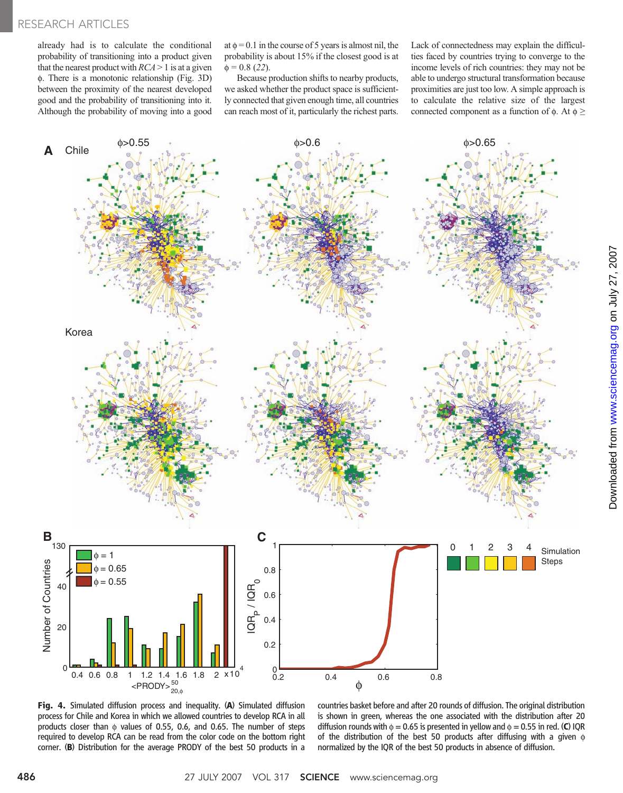already had is to calculate the conditional probability of transitioning into a product given that the nearest product with  $RCA > 1$  is at a given f. There is a monotonic relationship (Fig. 3D) between the proximity of the nearest developed good and the probability of transitioning into it. Although the probability of moving into a good

at  $\phi = 0.1$  in the course of 5 years is almost nil, the probability is about 15% if the closest good is at  $\phi = 0.8$  (22).

Because production shifts to nearby products, we asked whether the product space is sufficiently connected that given enough time, all countries can reach most of it, particularly the richest parts.

Lack of connectedness may explain the difficulties faced by countries trying to converge to the income levels of rich countries: they may not be able to undergo structural transformation because proximities are just too low. A simple approach is to calculate the relative size of the largest connected component as a function of  $\phi$ . At  $\phi \geq$ 



Fig. 4. Simulated diffusion process and inequality. (A) Simulated diffusion process for Chile and Korea in which we allowed countries to develop RCA in all products closer than  $\phi$  values of 0.55, 0.6, and 0.65. The number of steps required to develop RCA can be read from the color code on the bottom right corner. (B) Distribution for the average PRODY of the best 50 products in a

countries basket before and after 20 rounds of diffusion. The original distribution is shown in green, whereas the one associated with the distribution after 20 diffusion rounds with  $\phi = 0.65$  is presented in yellow and  $\phi = 0.55$  in red. (C) IQR of the distribution of the best 50 products after diffusing with a given  $\phi$ normalized by the IQR of the best 50 products in absence of diffusion.